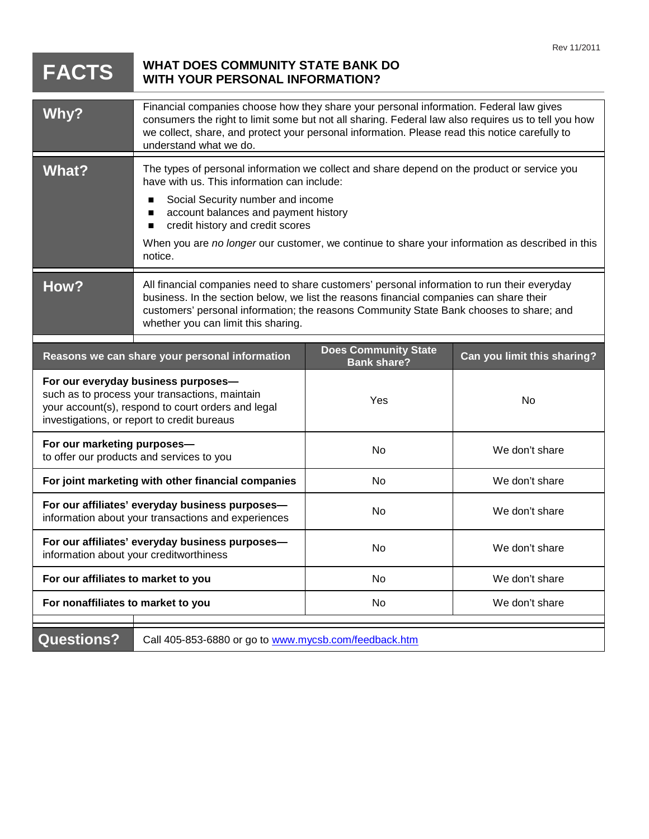|                                                                                                                                                                                            |                                                                                                                                                                                                                                                                                                                                                                                          |                                                   | Rev 11/2011                 |
|--------------------------------------------------------------------------------------------------------------------------------------------------------------------------------------------|------------------------------------------------------------------------------------------------------------------------------------------------------------------------------------------------------------------------------------------------------------------------------------------------------------------------------------------------------------------------------------------|---------------------------------------------------|-----------------------------|
| <b>FACTS</b>                                                                                                                                                                               | <b>WHAT DOES COMMUNITY STATE BANK DO</b><br><b>WITH YOUR PERSONAL INFORMATION?</b>                                                                                                                                                                                                                                                                                                       |                                                   |                             |
| Why?                                                                                                                                                                                       | Financial companies choose how they share your personal information. Federal law gives<br>consumers the right to limit some but not all sharing. Federal law also requires us to tell you how<br>we collect, share, and protect your personal information. Please read this notice carefully to<br>understand what we do.                                                                |                                                   |                             |
| <b>What?</b>                                                                                                                                                                               | The types of personal information we collect and share depend on the product or service you<br>have with us. This information can include:<br>Social Security number and income<br>п<br>account balances and payment history<br>п<br>credit history and credit scores<br>п<br>When you are no longer our customer, we continue to share your information as described in this<br>notice. |                                                   |                             |
| How?                                                                                                                                                                                       | All financial companies need to share customers' personal information to run their everyday<br>business. In the section below, we list the reasons financial companies can share their<br>customers' personal information; the reasons Community State Bank chooses to share; and<br>whether you can limit this sharing.                                                                 |                                                   |                             |
| Reasons we can share your personal information                                                                                                                                             |                                                                                                                                                                                                                                                                                                                                                                                          | <b>Does Community State</b><br><b>Bank share?</b> | Can you limit this sharing? |
| For our everyday business purposes-<br>such as to process your transactions, maintain<br>your account(s), respond to court orders and legal<br>investigations, or report to credit bureaus |                                                                                                                                                                                                                                                                                                                                                                                          | Yes                                               | No                          |
| For our marketing purposes-<br>to offer our products and services to you                                                                                                                   |                                                                                                                                                                                                                                                                                                                                                                                          | No                                                | We don't share              |
| For joint marketing with other financial companies                                                                                                                                         |                                                                                                                                                                                                                                                                                                                                                                                          | No                                                | We don't share              |
| For our affiliates' everyday business purposes-<br>information about your transactions and experiences                                                                                     |                                                                                                                                                                                                                                                                                                                                                                                          | No                                                | We don't share              |
| For our affiliates' everyday business purposes-<br>information about your creditworthiness                                                                                                 |                                                                                                                                                                                                                                                                                                                                                                                          | No                                                | We don't share              |
| For our affiliates to market to you                                                                                                                                                        |                                                                                                                                                                                                                                                                                                                                                                                          | No                                                | We don't share              |
| For nonaffiliates to market to you                                                                                                                                                         |                                                                                                                                                                                                                                                                                                                                                                                          | No                                                | We don't share              |
| <b>Questions?</b><br>Call 405-853-6880 or go to www.mycsb.com/feedback.htm                                                                                                                 |                                                                                                                                                                                                                                                                                                                                                                                          |                                                   |                             |